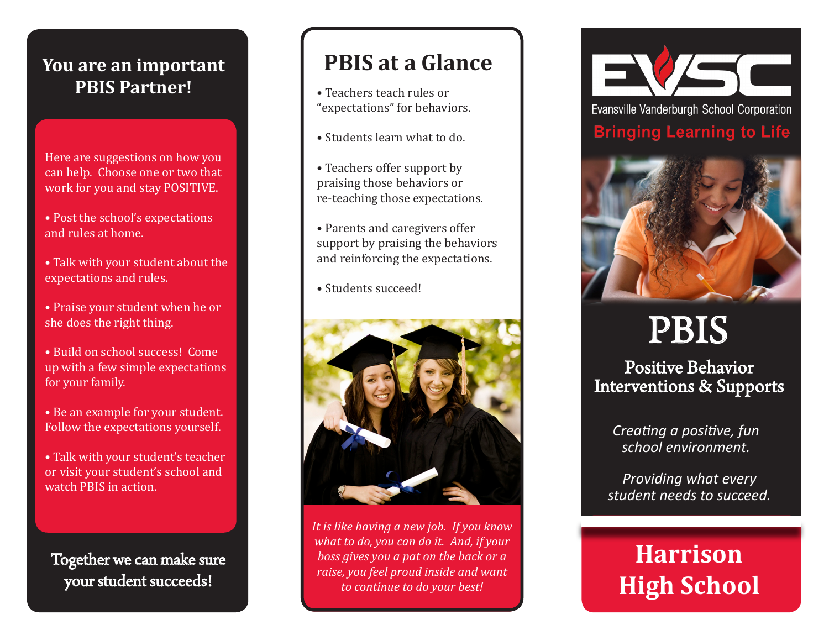#### **You are an important PBIS Partner!**

Here are suggestions on how you can help. Choose one or two that work for you and stay POSITIVE.

- Post the school's expectations and rules at home.
- Talk with your student about the expectations and rules.
- Praise your student when he or she does the right thing.
- Build on school success! Come up with a few simple expectations for your family.
- Be an example for your student. Follow the expectations yourself.
- Talk with your student's teacher or visit your student's school and watch PBIS in action.

Together we can make sure your student succeeds!

## **PBIS at a Glance**

- Teachers teach rules or "expectations" for behaviors.
- Students learn what to do.
- Teachers offer support by praising those behaviors or re-teaching those expectations.
- Parents and caregivers offer support by praising the behaviors and reinforcing the expectations.
- Students succeed!



*It is like having a new job. If you know what to do, you can do it. And, if your boss gives you a pat on the back or a raise, you feel proud inside and want to continue to do your best!*



Evansville Vanderburgh School Corporation **Bringing Learning to Life** 



# PBIS

Positive Behavior Interventions & Supports

> *Creating a positive, fun school environment.*

*Providing what every student needs to succeed.* 

## **Harrison High School**